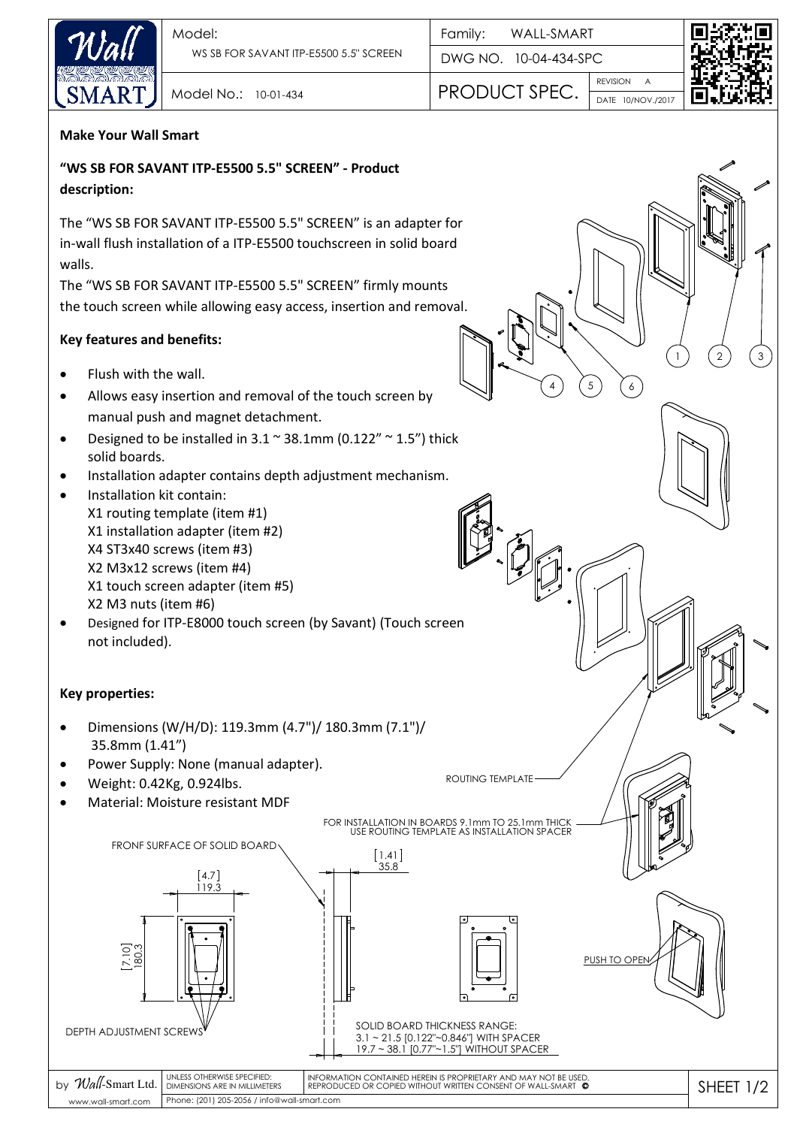

DWG NO. 10-04-434-SPC Family:

REVISION DATE 10/NOV./2017 Model No.: 10-01-434 **PRODUCT SPEC.** 

A

5

4 ) (5) (6



2) (3

1

## **Make Your Wall Smart**

**"WS SB FOR SAVANT ITP-E5500 5.5" SCREEN" - Product description:** 

The "WS SB FOR SAVANT ITP-E5500 5.5" SCREEN" is an adapter for in-wall flush installation of a ITP-E5500 touchscreen in solid board walls.

The "WS SB FOR SAVANT ITP-E5500 5.5" SCREEN" firmly mounts the touch screen while allowing easy access, insertion and removal.

## **Key features and benefits:**

- Flush with the wall.
- Allows easy insertion and removal of the touch screen by manual push and magnet detachment.
- Designed to be installed in  $3.1 \text{°} 38.1 \text{mm}$  (0.122"  $\text{°} 1.5$ ") thick solid boards.
- Installation adapter contains depth adjustment mechanism.
- Installation kit contain: X1 routing template (item #1) X1 installation adapter (item #2) X4 ST3x40 screws (item #3) X2 M3x12 screws (item #4) X1 touch screen adapter (item #5) X2 M3 nuts (item #6)
- Designed for ITP-E8000 touch screen (by Savant) (Touch screen not included).

## **Key properties:**

- Dimensions (W/H/D): 119.3mm (4.7")/ 180.3mm (7.1")/ 35.8mm (1.41")
- Power Supply: None (manual adapter).
- Weight: 0.42Kg, 0.924lbs.
- Material: Moisture resistant MDF

ROUTING TEMPLATE

FOR INSTALLATION IN BOARDS 9.1mm TO 25.1mm THICK USE ROUTING TEMPLATE AS INSTALLATION SPACER